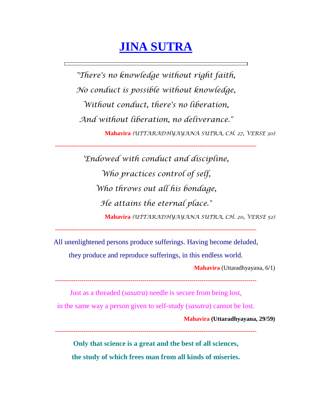## **JINA SUTRA**

*"There's no knowledge without right faith, No conduct is possible without knowledge, Without conduct, there's no liberation, And without liberation, no deliverance."* **Mahavira** *(UTTARADHYAYANA SUTRA, CH. 27, VERSE 30)*

**---------------------------------------------------------------------------------------------------**

*'Endowed with conduct and discipline, Who practices control of self, Who throws out all his bondage, He attains the eternal place."* **Mahavira** *(UTTARADHYAYANA SUTRA, CH. 20, VERSE 52)*

**---------------------------------------------------------------------------------------------------**

All unenlightened persons produce sufferings. Having become deluded,

they produce and reproduce sufferings, in this endless world.

**Mahavira** (Uttaradhyayana, 6/1)

**---------------------------------------------------------------------------------------------------**

Just as a threaded (*sasutra*) needle is secure from being lost,

in the same way a person given to self-study (*sasutra*) cannot be lost.

**Mahavira (Uttaradhyayana, 29/59)**

**---------------------------------------------------------------------------------------------------**

**Only that science is a great and the best of all sciences, the study of which frees man from all kinds of miseries.**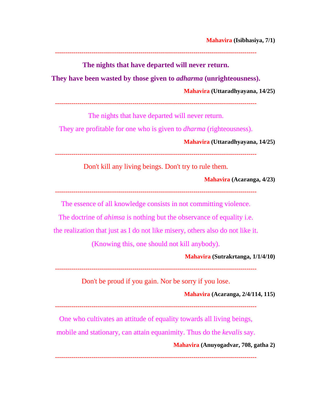**---------------------------------------------------------------------------------------------------**

**The nights that have departed will never return.** 

**They have been wasted by those given to** *adharma* **(unrighteousness).**

**Mahavira (Uttaradhyayana, 14/25)**

**---------------------------------------------------------------------------------------------------**

The nights that have departed will never return.

They are profitable for one who is given to *dharma* (righteousness).

**Mahavira (Uttaradhyayana, 14/25)**

**---------------------------------------------------------------------------------------------------**

Don't kill any living beings. Don't try to rule them.

**Mahavira (Acaranga, 4/23)**

**---------------------------------------------------------------------------------------------------**

The essence of all knowledge consists in not committing violence.

The doctrine of *ahimsa* is nothing but the observance of equality i.e.

the realization that just as I do not like misery, others also do not like it.

(Knowing this, one should not kill anybody).

**Mahavira (Sutrakrtanga, 1/1/4/10)**

**---------------------------------------------------------------------------------------------------**

Don't be proud if you gain. Nor be sorry if you lose.

**Mahavira (Acaranga, 2/4/114, 115)**

**---------------------------------------------------------------------------------------------------**

One who cultivates an attitude of equality towards all living beings,

mobile and stationary, can attain equanimity. Thus do the *kevalis* say.

**Mahavira (Anuyogadvar, 708, gatha 2)**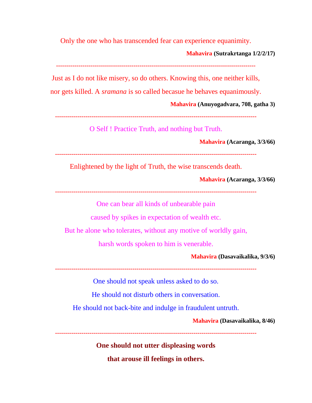Only the one who has transcended fear can experience equanimity.

**Mahavira (Sutrakrtanga 1/2/2/17)**

**--------------------------------------------------------------------------------------------------**

Just as I do not like misery, so do others. Knowing this, one neither kills,

nor gets killed. A *sramana* is so called becasue he behaves equanimously.

**Mahavira (Anuyogadvara, 708, gatha 3)**

```
---------------------------------------------------------------------------------------------------
```
O Self ! Practice Truth, and nothing but Truth.

**Mahavira (Acaranga, 3/3/66)**

**---------------------------------------------------------------------------------------------------**

Enlightened by the light of Truth, the wise transcends death.

**Mahavira (Acaranga, 3/3/66)**

**---------------------------------------------------------------------------------------------------**

One can bear all kinds of unbearable pain

caused by spikes in expectation of wealth etc.

But he alone who tolerates, without any motive of worldly gain,

harsh words spoken to him is venerable.

**Mahavira (Dasavaikalika, 9/3/6)**

**---------------------------------------------------------------------------------------------------**

One should not speak unless asked to do so.

He should not disturb others in conversation.

He should not back-bite and indulge in fraudulent untruth.

**Mahavira (Dasavaikalika, 8/46)**

**---------------------------------------------------------------------------------------------------**

**One should not utter displeasing words that arouse ill feelings in others.**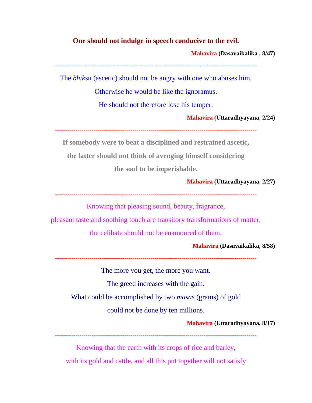## **One should not indulge in speech conducive to the evil.**

**Mahavira (Dasavaikalika , 8/47)**

**---------------------------------------------------------------------------------------------------**

The *bhik*su (ascetic) should not be angry with one who abuses him.

Otherwise he would be like the ignoramus.

He should not therefore lose his temper.

**Mahavira (Uttaradhyayana, 2/24)**

**---------------------------------------------------------------------------------------------------**

**If somebody were to beat a disciplined and restrained ascetic,** 

**the latter should not think of avenging himself considering** 

**the soul to be imperishable.**

**Mahavira (Uttaradhyayana, 2/27)**

**---------------------------------------------------------------------------------------------------**

Knowing that pleasing sound, beauty, fragrance,

pleasant taste and soothing touch are transitory transformations of matter,

the celibate should not be enamoured of them.

**Mahavira (Dasavaikalika, 8/58)**

**---------------------------------------------------------------------------------------------------**

The more you get, the more you want.

The greed increases with the gain.

What could be accomplished by two *masas* (grams) of gold

could not be done by ten millions.

**Mahavira (Uttaradhyayana, 8/17)**

**---------------------------------------------------------------------------------------------------**

Knowing that the earth with its crops of rice and barley, with its gold and cattle, and all this put together will not satisfy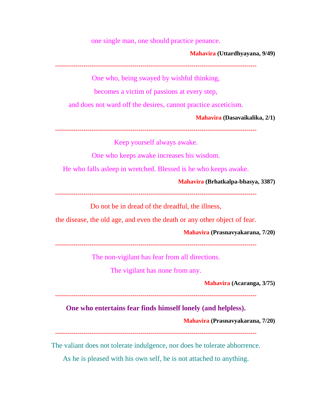one single man, one should practice penance.

**Mahavira (Uttardhyayana, 9/49)**

**---------------------------------------------------------------------------------------------------**

One who, being swayed by wishful thinking,

becomes a victim of passions at every step,

and does not ward off the desires, cannot practice asceticism.

**Mahavira (Dasavaikalika, 2/1)**

**---------------------------------------------------------------------------------------------------**

Keep yourself always awake.

One who keeps awake increases his wisdom.

He who falls asleep in wretched. Blessed is he who keeps awake.

**Mahavira (Brhatkalpa-bhasya, 3387)**

**---------------------------------------------------------------------------------------------------**

Do not be in dread of the dreadful, the illness,

the disease, the old age, and even the death or any other object of fear.

**Mahavira (Prasnavyakarana, 7/20)**

**---------------------------------------------------------------------------------------------------**

The non-vigilant has fear from all directions.

The vigilant has none from any.

**Mahavira (Acaranga, 3/75)**

**---------------------------------------------------------------------------------------------------**

**One who entertains fear finds himself lonely (and helpless).**

**Mahavira (Prasnavyakarana, 7/20)**

**---------------------------------------------------------------------------------------------------**

The valiant does not tolerate indulgence, nor does he tolerate abhorrence.

As he is pleased with his own self, he is not attached to anything.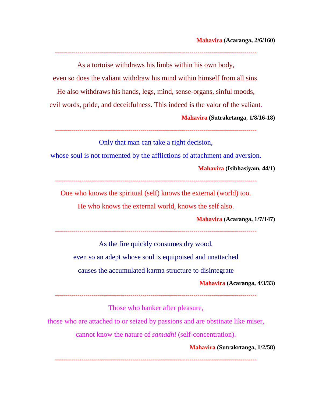**---------------------------------------------------------------------------------------------------** As a tortoise withdraws his limbs within his own body,

even so does the valiant withdraw his mind within himself from all sins.

He also withdraws his hands, legs, mind, sense-organs, sinful moods,

evil words, pride, and deceitfulness. This indeed is the valor of the valiant.

**Mahavira (Sutrakrtanga, 1/8/16-18)**

**---------------------------------------------------------------------------------------------------**

Only that man can take a right decision,

whose soul is not tormented by the afflictions of attachment and aversion.

**Mahavira (Isibhasiyam, 44/1)**

**---------------------------------------------------------------------------------------------------**

One who knows the spiritual (self) knows the external (world) too.

He who knows the external world, knows the self also.

**Mahavira (Acaranga, 1/7/147)**

**---------------------------------------------------------------------------------------------------**

As the fire quickly consumes dry wood, even so an adept whose soul is equipoised and unattached

causes the accumulated karma structure to disintegrate

**Mahavira (Acaranga, 4/3/33)**

**---------------------------------------------------------------------------------------------------**

Those who hanker after pleasure,

those who are attached to or seized by passions and are obstinate like miser,

cannot know the nature of *samadhi* (self-concentration).

**Mahavira (Sutrakrtanga, 1/2/58)**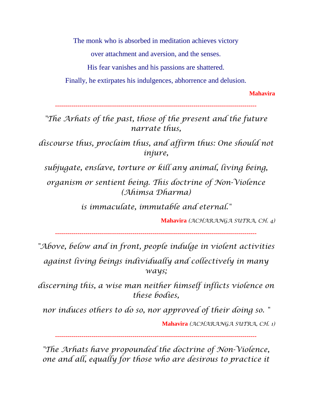The monk who is absorbed in meditation achieves victory

over attachment and aversion, and the senses.

His fear vanishes and his passions are shattered.

Finally, he extirpates his indulgences, abhorrence and delusion.

**Mahavira**

**---------------------------------------------------------------------------------------------------**

*"The Arhats of the past, those of the present and the future narrate thus,*

*discourse thus, proclaim thus, and affirm thus: One should not injure,* 

*subjugate, enslave, torture or kill any animal, living being,* 

*organism or sentient being. This doctrine of Non-Violence (Ahimsa Dharma)* 

*is immaculate, immutable and eternal."* 

**Mahavira** *(ACHARANGA SUTRA, CH. 4)*

**---------------------------------------------------------------------------------------------------**

*"Above, below and in front, people indulge in violent activities* 

*against living beings individually and collectively in many ways;* 

*discerning this, a wise man neither himself inflicts violence on these bodies,* 

*nor induces others to do so, nor approved of their doing so. "* 

**Mahavira** *(ACHARANGA SUTRA, CH. 1)*

**---------------------------------------------------------------------------------------------------**

*"The Arhats have propounded the doctrine of Non-Violence, one and all, equally for those who are desirous to practice it*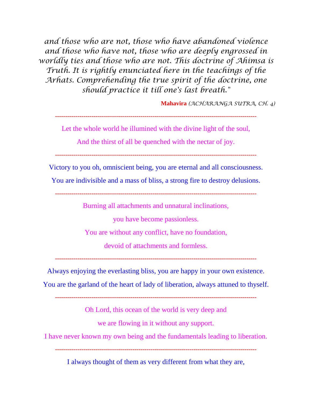*and those who are not, those who have abandoned violence and those who have not, those who are deeply engrossed in worldly ties and those who are not. This doctrine of Ahimsa is Truth. It is rightly enunciated here in the teachings of the Arhats. Comprehending the true spirit of the doctrine, one should practice it till one's last breath."* 

**Mahavira** *(ACHARANGA SUTRA, CH. 4)*

**---------------------------------------------------------------------------------------------------**

Let the whole world he illumined with the divine light of the soul,

And the thirst of all be quenched with the nectar of joy.

**---------------------------------------------------------------------------------------------------**

Victory to you oh, omniscient being, you are eternal and all consciousness.

You are indivisible and a mass of bliss, a strong fire to destroy delusions.

**---------------------------------------------------------------------------------------------------**

Burning all attachments and unnatural inclinations,

you have become passionless.

You are without any conflict, have no foundation,

devoid of attachments and formless.

**---------------------------------------------------------------------------------------------------**

Always enjoying the everlasting bliss, you are happy in your own existence.

You are the garland of the heart of lady of liberation, always attuned to thyself.

**---------------------------------------------------------------------------------------------------**

Oh Lord, this ocean of the world is very deep and

we are flowing in it without any support.

I have never known my own being and the fundamentals leading to liberation.

**---------------------------------------------------------------------------------------------------**

I always thought of them as very different from what they are,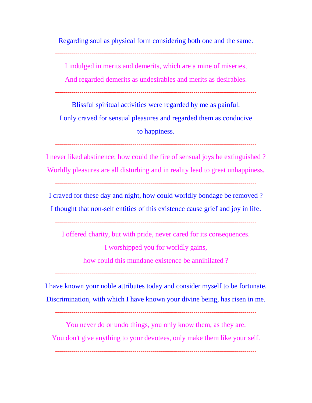Regarding soul as physical form considering both one and the same.

**---------------------------------------------------------------------------------------------------**

I indulged in merits and demerits, which are a mine of miseries,

And regarded demerits as undesirables and merits as desirables.

**---------------------------------------------------------------------------------------------------**

Blissful spiritual activities were regarded by me as painful. I only craved for sensual pleasures and regarded them as conducive to happiness.

**---------------------------------------------------------------------------------------------------**

I never liked abstinence; how could the fire of sensual joys be extinguished ? Worldly pleasures are all disturbing and in reality lead to great unhappiness. **---------------------------------------------------------------------------------------------------**

I craved for these day and night, how could worldly bondage be removed ? I thought that non-self entities of this existence cause grief and joy in life.

**---------------------------------------------------------------------------------------------------**

I offered charity, but with pride, never cared for its consequences.

I worshipped you for worldly gains,

how could this mundane existence be annihilated ?

**---------------------------------------------------------------------------------------------------**

I have known your noble attributes today and consider myself to be fortunate. Discrimination, with which I have known your divine being, has risen in me.

**---------------------------------------------------------------------------------------------------**

You never do or undo things, you only know them, as they are. You don't give anything to your devotees, only make them like your self.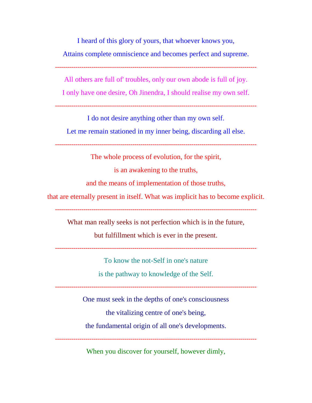I heard of this glory of yours, that whoever knows you,

Attains complete omniscience and becomes perfect and supreme.

**---------------------------------------------------------------------------------------------------**

All others are full of' troubles, only our own abode is full of joy.

I only have one desire, Oh Jinendra, I should realise my own self.

**---------------------------------------------------------------------------------------------------**

I do not desire anything other than my own self.

Let me remain stationed in my inner being, discarding all else.

**---------------------------------------------------------------------------------------------------**

The whole process of evolution, for the spirit,

is an awakening to the truths,

and the means of implementation of those truths,

that are eternally present in itself. What was implicit has to become explicit.

**---------------------------------------------------------------------------------------------------**

What man really seeks is not perfection which is in the future,

but fulfillment which is ever in the present.

**---------------------------------------------------------------------------------------------------**

To know the not-Self in one's nature

is the pathway to knowledge of the Self.

**---------------------------------------------------------------------------------------------------**

One must seek in the depths of one's consciousness

the vitalizing centre of one's being,

the fundamental origin of all one's developments.

**---------------------------------------------------------------------------------------------------**

When you discover for yourself, however dimly,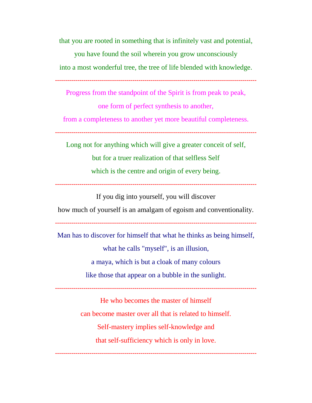that you are rooted in something that is infinitely vast and potential,

you have found the soil wherein you grow unconsciously into a most wonderful tree, the tree of life blended with knowledge.

**---------------------------------------------------------------------------------------------------**

Progress from the standpoint of the Spirit is from peak to peak,

one form of perfect synthesis to another,

from a completeness to another yet more beautiful completeness.

**---------------------------------------------------------------------------------------------------**

Long not for anything which will give a greater conceit of self, but for a truer realization of that selfless Self which is the centre and origin of every being.

**---------------------------------------------------------------------------------------------------**

If you dig into yourself, you will discover how much of yourself is an amalgam of egoism and conventionality.

**---------------------------------------------------------------------------------------------------**

Man has to discover for himself that what he thinks as being himself, what he calls "myself", is an illusion, a maya, which is but a cloak of many colours like those that appear on a bubble in the sunlight.

**---------------------------------------------------------------------------------------------------**

He who becomes the master of himself can become master over all that is related to himself. Self-mastery implies self-knowledge and that self-sufficiency which is only in love.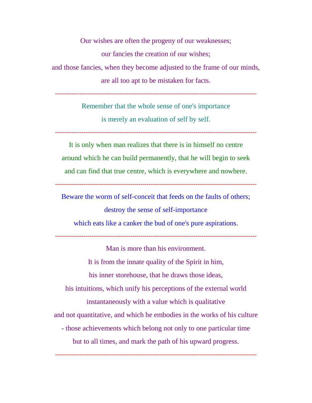Our wishes are often the progeny of our weaknesses; our fancies the creation of our wishes; and those fancies, when they become adjusted to the frame of our minds, are all too apt to be mistaken for facts.

**---------------------------------------------------------------------------------------------------**

Remember that the whole sense of one's importance is merely an evaluation of self by self.

**---------------------------------------------------------------------------------------------------**

It is only when man realizes that there is in himself no centre around which he can build permanently, that he will begin to seek and can find that true centre, which is everywhere and nowhere.

**---------------------------------------------------------------------------------------------------**

Beware the worm of self-conceit that feeds on the faults of others; destroy the sense of self-importance which eats like a canker the bud of one's pure aspirations.

**---------------------------------------------------------------------------------------------------**

Man is more than his environment. It is from the innate quality of the Spirit in him, his inner storehouse, that he draws those ideas, his intuitions, which unify his perceptions of the external world instantaneously with a value which is qualitative and not quantitative, and which he embodies in the works of his culture - those achievements which belong not only to one particular time but to all times, and mark the path of his upward progress.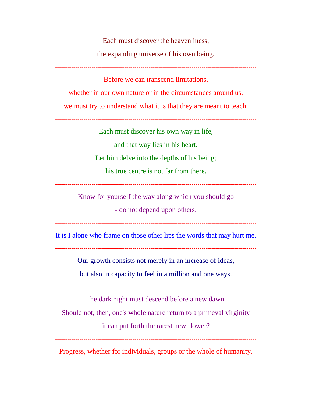Each must discover the heavenliness, the expanding universe of his own being. **---------------------------------------------------------------------------------------------------** Before we can transcend limitations, whether in our own nature or in the circumstances around us. we must try to understand what it is that they are meant to teach. **---------------------------------------------------------------------------------------------------** Each must discover his own way in life, and that way lies in his heart. Let him delve into the depths of his being; his true centre is not far from there. **---------------------------------------------------------------------------------------------------**

Know for yourself the way along which you should go

- do not depend upon others.

**---------------------------------------------------------------------------------------------------**

It is I alone who frame on those other lips the words that may hurt me.

**---------------------------------------------------------------------------------------------------**

Our growth consists not merely in an increase of ideas,

but also in capacity to feel in a million and one ways.

**---------------------------------------------------------------------------------------------------**

The dark night must descend before a new dawn.

Should not, then, one's whole nature return to a primeval virginity

it can put forth the rarest new flower?

**---------------------------------------------------------------------------------------------------**

Progress, whether for individuals, groups or the whole of humanity,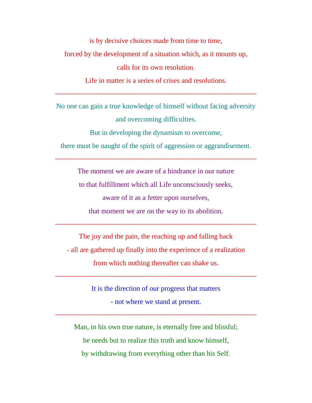is by decisive choices made from time to time, forced by the development of a situation which, as it mounts up, calls for its own resolution. Life in matter is a series of crises and resolutions.

**---------------------------------------------------------------------------------------------------**

No one can gain a true knowledge of himself without facing adversity and overcoming difficulties.

But in developing the dynamism to overcome,

there must be naught of the spirit of aggression or aggrandisement.

**---------------------------------------------------------------------------------------------------**

The moment we are aware of a hindrance in our nature

to that fulfillment which all Life unconsciously seeks,

aware of it as a fetter upon ourselves,

that moment we are on the way to its abolition.

**---------------------------------------------------------------------------------------------------**

The joy and the pain, the reaching up and falling back

- all are gathered up finally into the experience of a realization

from which nothing thereafter can shake us.

**---------------------------------------------------------------------------------------------------**

It is the direction of our progress that matters

- not where we stand at present.

**---------------------------------------------------------------------------------------------------**

Man, in his own true nature, is eternally free and blissful; he needs but to realize this truth and know himself, by withdrawing from everything other than his Self.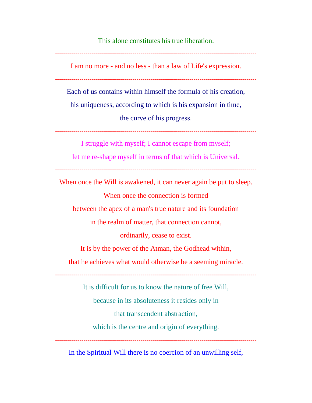This alone constitutes his true liberation.

**---------------------------------------------------------------------------------------------------**

I am no more - and no less - than a law of Life's expression.

**---------------------------------------------------------------------------------------------------**

Each of us contains within himself the formula of his creation,

his uniqueness, according to which is his expansion in time,

the curve of his progress.

**---------------------------------------------------------------------------------------------------**

I struggle with myself; I cannot escape from myself;

let me re-shape myself in terms of that which is Universal.

**---------------------------------------------------------------------------------------------------**

When once the Will is awakened, it can never again be put to sleep.

When once the connection is formed

between the apex of a man's true nature and its foundation

in the realm of matter, that connection cannot,

ordinarily, cease to exist.

It is by the power of the Atman, the Godhead within,

that he achieves what would otherwise be a seeming miracle.

**---------------------------------------------------------------------------------------------------**

It is difficult for us to know the nature of free Will, because in its absoluteness it resides only in that transcendent abstraction, which is the centre and origin of everything.

In the Spiritual Will there is no coercion of an unwilling self,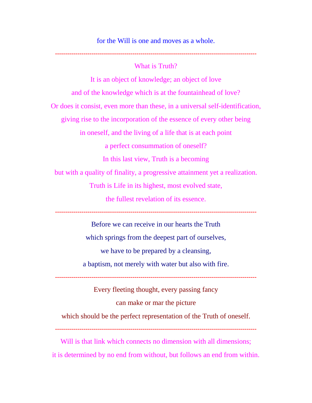for the Will is one and moves as a whole.

What is Truth?

**---------------------------------------------------------------------------------------------------**

It is an object of knowledge; an object of love and of the knowledge which is at the fountainhead of love? Or does it consist, even more than these, in a universal self-identification, giving rise to the incorporation of the essence of every other being in oneself, and the living of a life that is at each point a perfect consummation of oneself? In this last view, Truth is a becoming but with a quality of finality, a progressive attainment yet a realization. Truth is Life in its highest, most evolved state, the fullest revelation of its essence. **---------------------------------------------------------------------------------------------------** Before we can receive in our hearts the Truth which springs from the deepest part of ourselves, we have to be prepared by a cleansing,

a baptism, not merely with water but also with fire.

**---------------------------------------------------------------------------------------------------**

Every fleeting thought, every passing fancy can make or mar the picture which should be the perfect representation of the Truth of oneself. **---------------------------------------------------------------------------------------------------**

Will is that link which connects no dimension with all dimensions; it is determined by no end from without, but follows an end from within.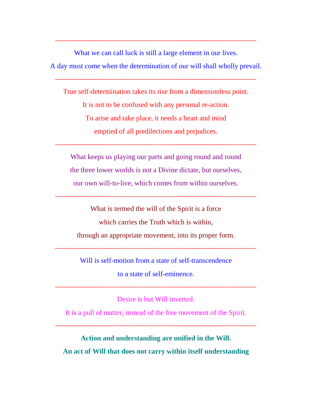What we can call luck is still a large element in our lives. A day must come when the determination of our will shall wholly prevail.

**---------------------------------------------------------------------------------------------------**

**---------------------------------------------------------------------------------------------------**

True self-determination takes its rise from a dimensionless point. It is not to be confused with any personal re-action. To arise and take place, it needs a heart and mind emptied of all predilections and prejudices.

**---------------------------------------------------------------------------------------------------**

What keeps us playing our parts and going round and round the three lower worlds is not a Divine dictate, but ourselves, our own will-to-live, which comes from within ourselves.

**---------------------------------------------------------------------------------------------------**

What is termed the will of the Spirit is a force

which carries the Truth which is within,

through an appropriate movement, into its proper form.

**---------------------------------------------------------------------------------------------------**

Will is self-motion from a state of self-transcendence

to a state of self-eminence.

**---------------------------------------------------------------------------------------------------**

Desire is but Will inverted.

It is a pull of matter, instead of the free movement of the Spirit.

**---------------------------------------------------------------------------------------------------**

**Action and understanding are unified in the Will. An act of Will that does not carry within itself understanding**